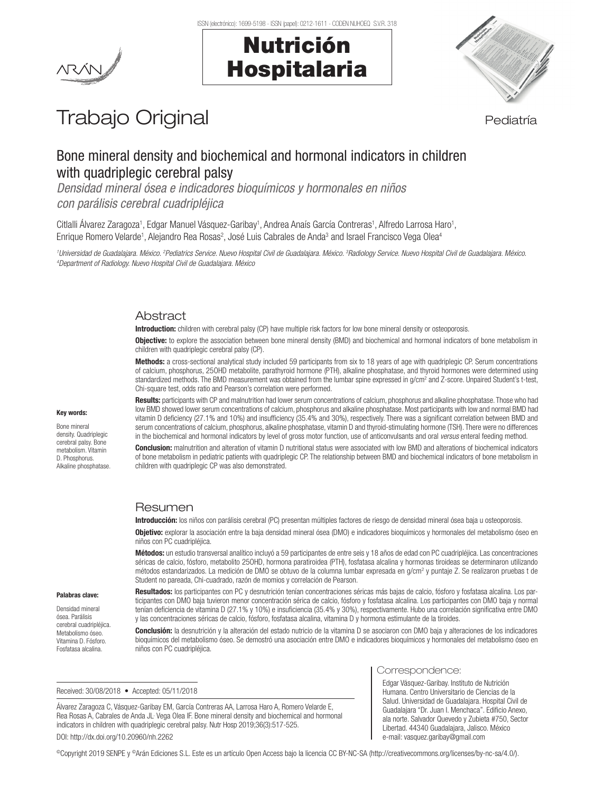# Nutrición Hospitalaria



# Trabajo Original en el estatubación de la pediatría

# Bone mineral density and biochemical and hormonal indicators in children with quadriplegic cerebral palsy

*Densidad mineral ósea e indicadores bioquímicos y hormonales en niños con parálisis cerebral cuadripléjica*

Citlalli Álvarez Zaragoza<sup>1</sup>, Edgar Manuel Vásquez-Garibay<sup>1</sup>, Andrea Anaís García Contreras<sup>1</sup>, Alfredo Larrosa Haro<sup>1</sup>, Enrique Romero Velarde<sup>1</sup>, Alejandro Rea Rosas<sup>2</sup>, José Luis Cabrales de Anda<sup>3</sup> and Israel Francisco Vega Olea<sup>4</sup>

<sup>1</sup>Universidad de Guadalajara. México. <sup>2</sup>Pediatrics Service. Nuevo Hospital Civil de Guadalajara. México. <sup>3</sup>Radiology Service. Nuevo Hospital Civil de Guadalajara. México.<br><sup>4</sup>Denartment of Badiology Nuevo Hospital Civil *Department of Radiology. Nuevo Hospital Civil de Guadalajara. México*

# Abstract

Introduction: children with cerebral palsy (CP) have multiple risk factors for low bone mineral density or osteoporosis.

**Objective:** to explore the association between bone mineral density (BMD) and biochemical and hormonal indicators of bone metabolism in children with quadriplegic cerebral palsy (CP).

Methods: a cross-sectional analytical study included 59 participants from six to 18 years of age with quadriplegic CP. Serum concentrations of calcium, phosphorus, 25OHD metabolite, parathyroid hormone (PTH), alkaline phosphatase, and thyroid hormones were determined using standardized methods. The BMD measurement was obtained from the lumbar spine expressed in g/cm<sup>2</sup> and Z-score. Unpaired Student's t-test, Chi-square test, odds ratio and Pearson's correlation were performed.

Results: participants with CP and malnutrition had lower serum concentrations of calcium, phosphorus and alkaline phosphatase. Those who had low BMD showed lower serum concentrations of calcium, phosphorus and alkaline phosphatase. Most participants with low and normal BMD had vitamin D deficiency (27.1% and 10%) and insufficiency (35.4% and 30%), respectively. There was a significant correlation between BMD and serum concentrations of calcium, phosphorus, alkaline phosphatase, vitamin D and thyroid-stimulating hormone (TSH). There were no differences in the biochemical and hormonal indicators by level of gross motor function, use of anticonvulsants and oral *versus* enteral feeding method.

Conclusion: malnutrition and alteration of vitamin D nutritional status were associated with low BMD and alterations of biochemical indicators of bone metabolism in pediatric patients with quadriplegic CP. The relationship between BMD and biochemical indicators of bone metabolism in children with quadriplegic CP was also demonstrated.

# Resumen

Introducción: los niños con parálisis cerebral (PC) presentan múltiples factores de riesgo de densidad mineral ósea baja u osteoporosis.

Objetivo: explorar la asociación entre la baja densidad mineral ósea (DMO) e indicadores bioquímicos y hormonales del metabolismo óseo en niños con PC cuadripléjica.

Métodos: un estudio transversal analítico incluyó a 59 participantes de entre seis y 18 años de edad con PC cuadripléjica. Las concentraciones séricas de calcio, fósforo, metabolito 25OHD, hormona paratiroidea (PTH), fosfatasa alcalina y hormonas tiroideas se determinaron utilizando métodos estandarizados. La medición de DMO se obtuvo de la columna lumbar expresada en g/cm<sup>2</sup> y puntaje Z. Se realizaron pruebas t de Student no pareada, Chi-cuadrado, razón de momios y correlación de Pearson.

Resultados: los participantes con PC y desnutrición tenían concentraciones séricas más bajas de calcio, fósforo y fosfatasa alcalina. Los participantes con DMO baja tuvieron menor concentración sérica de calcio, fósforo y fosfatasa alcalina. Los participantes con DMO baja y normal tenían deficiencia de vitamina D (27.1% y 10%) e insuficiencia (35.4% y 30%), respectivamente. Hubo una correlación significativa entre DMO y las concentraciones séricas de calcio, fósforo, fosfatasa alcalina, vitamina D y hormona estimulante de la tiroides.

Conclusión: la desnutrición y la alteración del estado nutricio de la vitamina D se asociaron con DMO baja y alteraciones de los indicadores bioquímicos del metabolismo óseo. Se demostró una asociación entre DMO e indicadores bioquímicos y hormonales del metabolismo óseo en niños con PC cuadripléjica.

Received: 30/08/2018 • Accepted: 05/11/2018

Álvarez Zaragoza C, Vásquez-Garibay EM, García Contreras AA, Larrosa Haro A, Romero Velarde E, Rea Rosas A, Cabrales de Anda JL<sup>,</sup> Vega Olea IF. Bone mineral density and biochemical and hormonal indicators in children with quadriplegic cerebral palsy. Nutr Hosp 2019;36(3):517-525. DOI: http://dx.doi.org/10.20960/nh.2262

#### Correspondence:

Edgar Vásquez-Garibay. Instituto de Nutrición Humana. Centro Universitario de Ciencias de la Salud. Universidad de Guadalajara. Hospital Civil de Guadalajara "Dr. Juan I. Menchaca". Edificio Anexo, ala norte. Salvador Quevedo y Zubieta #750, Sector Libertad. 44340 Guadalajara, Jalisco. México e-mail: vasquez.garibay@gmail.com

Key words:

Bone mineral density. Quadriplegic cerebral palsy. Bone metabolism. Vitamin D. Phosphorus. Alkaline phosnhatase

Palabras clave: Densidad mineral ósea. Parálisis cerebral cuadripléjica. Metabolismo óseo. Vitamina D. Fósforo. Fosfatasa alcalina.

©Copyright 2019 SENPE y ©Arán Ediciones S.L. Este es un artículo Open Access bajo la licencia CC BY-NC-SA (http://creativecommons.org/licenses/by-nc-sa/4.0/).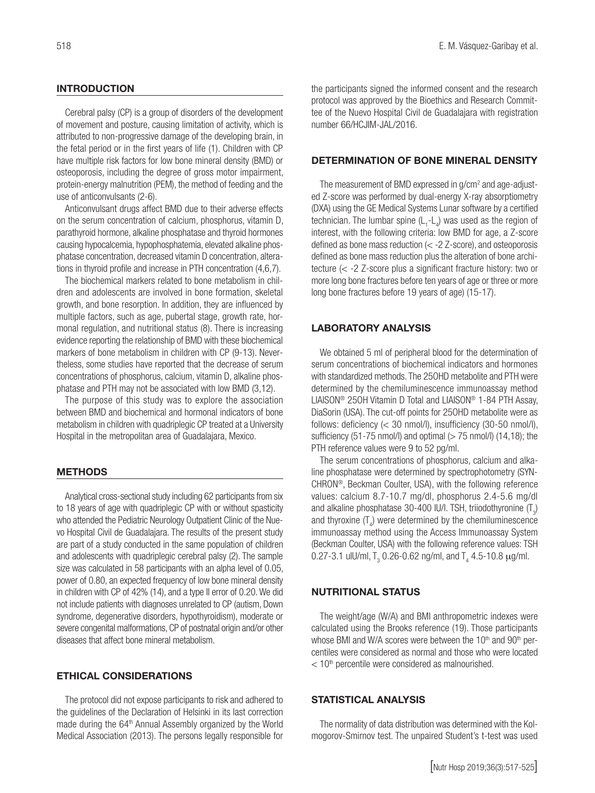# **INTRODUCTION**

Cerebral palsy (CP) is a group of disorders of the development of movement and posture, causing limitation of activity, which is attributed to non-progressive damage of the developing brain, in the fetal period or in the first years of life (1). Children with CP have multiple risk factors for low bone mineral density (BMD) or osteoporosis, including the degree of gross motor impairment, protein-energy malnutrition (PEM), the method of feeding and the use of anticonvulsants (2-6).

Anticonvulsant drugs affect BMD due to their adverse effects on the serum concentration of calcium, phosphorus, vitamin D, parathyroid hormone, alkaline phosphatase and thyroid hormones causing hypocalcemia, hypophosphatemia, elevated alkaline phosphatase concentration, decreased vitamin D concentration, alterations in thyroid profile and increase in PTH concentration (4,6,7).

The biochemical markers related to bone metabolism in children and adolescents are involved in bone formation, skeletal growth, and bone resorption. In addition, they are influenced by multiple factors, such as age, pubertal stage, growth rate, hormonal regulation, and nutritional status (8). There is increasing evidence reporting the relationship of BMD with these biochemical markers of bone metabolism in children with CP (9-13). Nevertheless, some studies have reported that the decrease of serum concentrations of phosphorus, calcium, vitamin D, alkaline phosphatase and PTH may not be associated with low BMD (3,12).

The purpose of this study was to explore the association between BMD and biochemical and hormonal indicators of bone metabolism in children with quadriplegic CP treated at a University Hospital in the metropolitan area of Guadalajara, Mexico.

#### **METHODS**

Analytical cross-sectional study including 62 participants from six to 18 years of age with quadriplegic CP with or without spasticity who attended the Pediatric Neurology Outpatient Clinic of the Nuevo Hospital Civil de Guadalajara. The results of the present study are part of a study conducted in the same population of children and adolescents with quadriplegic cerebral palsy (2). The sample size was calculated in 58 participants with an alpha level of 0.05, power of 0.80, an expected frequency of low bone mineral density in children with CP of 42% (14), and a type II error of 0.20. We did not include patients with diagnoses unrelated to CP (autism, Down syndrome, degenerative disorders, hypothyroidism), moderate or severe congenital malformations, CP of postnatal origin and/or other diseases that affect bone mineral metabolism.

## ETHICAL CONSIDERATIONS

The protocol did not expose participants to risk and adhered to the guidelines of the Declaration of Helsinki in its last correction made during the 64<sup>th</sup> Annual Assembly organized by the World Medical Association (2013). The persons legally responsible for

the participants signed the informed consent and the research protocol was approved by the Bioethics and Research Committee of the Nuevo Hospital Civil de Guadalajara with registration number 66/HCJIM-JAL/2016.

#### DETERMINATION OF BONE MINERAL DENSITY

The measurement of BMD expressed in  $g/cm<sup>2</sup>$  and age-adjusted Z-score was performed by dual-energy X-ray absorptiometry (DXA) using the GE Medical Systems Lunar software by a certified technician. The lumbar spine  $(L_1 - L_4)$  was used as the region of interest, with the following criteria: low BMD for age, a Z-score defined as bone mass reduction (< -2 Z-score), and osteoporosis defined as bone mass reduction plus the alteration of bone architecture (< -2 Z-score plus a significant fracture history: two or more long bone fractures before ten years of age or three or more long bone fractures before 19 years of age) (15-17).

### LABORATORY ANALYSIS

We obtained 5 ml of peripheral blood for the determination of serum concentrations of biochemical indicators and hormones with standardized methods. The 25OHD metabolite and PTH were determined by the chemiluminescence immunoassay method LIAISON® 25OH Vitamin D Total and LIAISON® 1-84 PTH Assay, DiaSorin (USA). The cut-off points for 25OHD metabolite were as follows: deficiency (< 30 nmol/l), insufficiency (30-50 nmol/l), sufficiency (51-75 nmol/l) and optimal  $(> 75$  nmol/l) (14,18); the PTH reference values were 9 to 52 pg/ml.

The serum concentrations of phosphorus, calcium and alkaline phosphatase were determined by spectrophotometry (SYN-CHRON®, Beckman Coulter, USA), with the following reference values: calcium 8.7-10.7 mg/dl, phosphorus 2.4-5.6 mg/dl and alkaline phosphatase 30-400 IU/l. TSH, triiodothyronine  $(T_3)$ and thyroxine  $(T_4)$  were determined by the chemiluminescence immunoassay method using the Access Immunoassay System (Beckman Coulter, USA) with the following reference values: TSH 0.27-3.1 ulU/ml,  $T_{3}$  0.26-0.62 ng/ml, and  $T_{4}$  4.5-10.8  $\mu$ g/ml.

#### NUTRITIONAL STATUS

The weight/age (W/A) and BMI anthropometric indexes were calculated using the Brooks reference (19). Those participants whose BMI and W/A scores were between the 10<sup>th</sup> and 90<sup>th</sup> percentiles were considered as normal and those who were located  $<$  10<sup>th</sup> percentile were considered as malnourished.

#### STATISTICAL ANALYSIS

The normality of data distribution was determined with the Kolmogorov-Smirnov test. The unpaired Student's t-test was used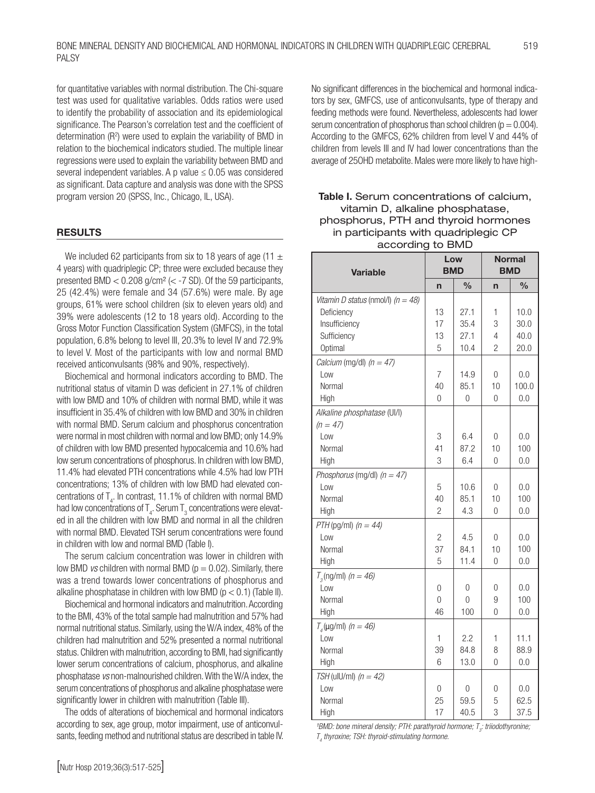for quantitative variables with normal distribution. The Chi-square test was used for qualitative variables. Odds ratios were used to identify the probability of association and its epidemiological significance. The Pearson's correlation test and the coefficient of determination  $(R^2)$  were used to explain the variability of BMD in relation to the biochemical indicators studied. The multiple linear regressions were used to explain the variability between BMD and several independent variables. A p value  $\leq 0.05$  was considered as significant. Data capture and analysis was done with the SPSS program version 20 (SPSS, Inc., Chicago, IL, USA).

#### RESULTS

We included 62 participants from six to 18 years of age (11  $\pm$ 4 years) with quadriplegic CP; three were excluded because they presented BMD  $< 0.208$  g/cm<sup>2</sup> ( $<$  -7 SD). Of the 59 participants, 25 (42.4%) were female and 34 (57.6%) were male. By age groups, 61% were school children (six to eleven years old) and 39% were adolescents (12 to 18 years old). According to the Gross Motor Function Classification System (GMFCS), in the total population, 6.8% belong to level III, 20.3% to level IV and 72.9% to level V. Most of the participants with low and normal BMD received anticonvulsants (98% and 90%, respectively).

Biochemical and hormonal indicators according to BMD. The nutritional status of vitamin D was deficient in 27.1% of children with low BMD and 10% of children with normal BMD, while it was insufficient in 35.4% of children with low BMD and 30% in children with normal BMD. Serum calcium and phosphorus concentration were normal in most children with normal and low BMD; only 14.9% of children with low BMD presented hypocalcemia and 10.6% had low serum concentrations of phosphorus. In children with low BMD, 11.4% had elevated PTH concentrations while 4.5% had low PTH concentrations; 13% of children with low BMD had elevated concentrations of  $T_{4}$ . In contrast, 11.1% of children with normal BMD had low concentrations of  $\mathsf{T}_4.$  Serum  $\mathsf{T}_3$  concentrations were elevated in all the children with low BMD and normal in all the children with normal BMD. Flevated TSH serum concentrations were found in children with low and normal BMD (Table I).

The serum calcium concentration was lower in children with low BMD *vs* children with normal BMD ( $p = 0.02$ ). Similarly, there was a trend towards lower concentrations of phosphorus and alkaline phosphatase in children with low BMD ( $p < 0.1$ ) (Table II).

Biochemical and hormonal indicators and malnutrition. According to the BMI, 43% of the total sample had malnutrition and 57% had normal nutritional status. Similarly, using the W/A index, 48% of the children had malnutrition and 52% presented a normal nutritional status. Children with malnutrition, according to BMI, had significantly lower serum concentrations of calcium, phosphorus, and alkaline phosphatase *vs* non-malnourished children. With the W/A index, the serum concentrations of phosphorus and alkaline phosphatase were significantly lower in children with malnutrition (Table III).

The odds of alterations of biochemical and hormonal indicators according to sex, age group, motor impairment, use of anticonvulsants, feeding method and nutritional status are described in table IV. No significant differences in the biochemical and hormonal indicators by sex, GMFCS, use of anticonvulsants, type of therapy and feeding methods were found. Nevertheless, adolescents had lower serum concentration of phosphorus than school children ( $p = 0.004$ ). According to the GMFCS, 62% children from level V and 44% of children from levels III and IV had lower concentrations than the average of 25OHD metabolite. Males were more likely to have high-

# Table I. Serum concentrations of calcium, vitamin D, alkaline phosphatase, phosphorus, PTH and thyroid hormones in participants with quadriplegic CP according to BMD

| Variable                                                                                      |                     | Low<br><b>BMD</b>            | <b>Normal</b><br><b>BMD</b>  |                              |
|-----------------------------------------------------------------------------------------------|---------------------|------------------------------|------------------------------|------------------------------|
|                                                                                               | n                   | $\frac{0}{0}$                | n                            | $\frac{0}{0}$                |
| Vitamin D status (nmol/l) $(n = 48)$<br>Deficiency<br>Insufficiency<br>Sufficiency<br>Optimal | 13<br>17<br>13<br>5 | 27.1<br>35.4<br>27.1<br>10.4 | 1<br>3<br>4<br>$\mathcal{P}$ | 10.0<br>30.0<br>40.0<br>20.0 |
| Calcium (mg/dl) $(n = 47)$<br>Low<br>Normal<br>High                                           | 7<br>40<br>0        | 14.9<br>85.1<br>0            | 0<br>10<br>0                 | 0.0<br>100.0<br>0.0          |
| Alkaline phosphatase (UI/I)<br>$(n = 47)$<br>Low<br>Normal<br>High                            | 3<br>41<br>3        | 6.4<br>87.2<br>6.4           | 0<br>10<br>0                 | 0.0<br>100<br>0.0            |
| Phosphorus (mg/dl) $(n = 47)$<br>l ow<br>Normal<br>High                                       | 5<br>40<br>2        | 10.6<br>85.1<br>4.3          | 0<br>10<br>0                 | 0.0<br>100<br>0.0            |
| PTH (pg/ml) $(n = 44)$<br>l ow<br>Normal<br>High                                              | 2<br>37<br>5        | 4.5<br>84.1<br>11.4          | 0<br>10<br>0                 | 0.0<br>100<br>0.0            |
| $T_{\rm g}$ (ng/ml) (n = 46)<br>Low<br>Normal<br>High                                         | 0<br>$\Omega$<br>46 | 0<br>$\overline{0}$<br>100   | 0<br>9<br>0                  | 0.0<br>100<br>0.0            |
| $T_{4}$ (µg/ml) (n = 46)<br>Low<br>Normal<br>High                                             | 1<br>39<br>6        | 2.2<br>84.8<br>13.0          | 1<br>8<br>0                  | 11.1<br>88.9<br>0.0          |
| TSH (ulU/ml) $(n = 42)$<br>Low<br>Normal<br>High                                              | 0<br>25<br>17       | 0<br>59.5<br>40.5            | 0<br>5<br>3                  | 0.0<br>62.5<br>37.5          |

<sup>&</sup>lt;sup>1</sup>BMD: bone mineral density; PTH: parathyroid hormone; T<sub>3</sub>: triiodothyronine; *T4 thyroxine; TSH: thyroid-stimulating hormone.*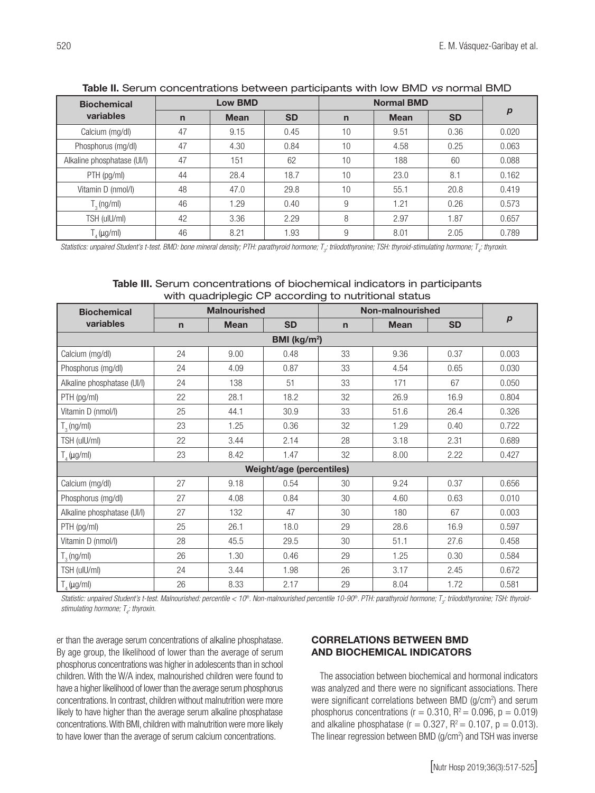| <b>Biochemical</b>                                                                       | <b>Low BMD</b> |             |           | <b>Normal BMD</b> |             |           |                  |
|------------------------------------------------------------------------------------------|----------------|-------------|-----------|-------------------|-------------|-----------|------------------|
| variables                                                                                | $\mathsf{n}$   | <b>Mean</b> | <b>SD</b> | $\mathsf{n}$      | <b>Mean</b> | <b>SD</b> | $\boldsymbol{p}$ |
| Calcium (mg/dl)                                                                          | 47             | 9.15        | 0.45      | 10                | 9.51        | 0.36      | 0.020            |
| Phosphorus (mg/dl)                                                                       | 47             | 4.30        | 0.84      | 10                | 4.58        | 0.25      | 0.063            |
| Alkaline phosphatase (UI/I)                                                              | 47             | 151         | 62        | 10                | 188         | 60        | 0.088            |
| $PTH$ (pg/ml)                                                                            | 44             | 28.4        | 18.7      | 10                | 23.0        | 8.1       | 0.162            |
| Vitamin D (nmol/l)                                                                       | 48             | 47.0        | 29.8      | 10                | 55.1        | 20.8      | 0.419            |
| $T_{\text{a}}$ (ng/ml)                                                                   | 46             | 1.29        | 0.40      | 9                 | 1.21        | 0.26      | 0.573            |
| TSH (ulU/ml)                                                                             | 42             | 3.36        | 2.29      | 8                 | 2.97        | 1.87      | 0.657            |
| $\mathsf{\Gamma}_{\scriptscriptstyle{A}}\mathsf{(}\mu\mathsf{g}/\mathsf{ml}\mathsf{)}$ . | 46             | 8.21        | 1.93      | 9                 | 8.01        | 2.05      | 0.789            |

Table II. Serum concentrations between participants with low BMD *vs* normal BMD

Statistics: unpaired Student's t-test. BMD: bone mineral density; PTH: parathyroid hormone; T<sub>3</sub>; triiodothyronine; TSH: thyroid-stimulating hormone; T<sub>4</sub>: thyroxin.

| <b>Table III.</b> Serum concentrations of biochemical indicators in participants |
|----------------------------------------------------------------------------------|
| with quadriplegic CP according to nutritional status                             |

| <b>Biochemical</b>          | <b>Malnourished</b>      |             |           | Non-malnourished |             |           |                  |  |
|-----------------------------|--------------------------|-------------|-----------|------------------|-------------|-----------|------------------|--|
| variables                   | $\mathsf{n}$             | <b>Mean</b> | <b>SD</b> | $\mathbf n$      | <b>Mean</b> | <b>SD</b> | $\boldsymbol{p}$ |  |
| BMI (kg/m <sup>2</sup> )    |                          |             |           |                  |             |           |                  |  |
| Calcium (mg/dl)             | 24                       | 9.00        | 0.48      | 33               | 9.36        | 0.37      | 0.003            |  |
| Phosphorus (mg/dl)          | 24                       | 4.09        | 0.87      | 33               | 4.54        | 0.65      | 0.030            |  |
| Alkaline phosphatase (UI/I) | 24                       | 138         | 51        | 33               | 171         | 67        | 0.050            |  |
| $PTH$ (pg/ml)               | 22                       | 28.1        | 18.2      | 32               | 26.9        | 16.9      | 0.804            |  |
| Vitamin D (nmol/l)          | 25                       | 44.1        | 30.9      | 33               | 51.6        | 26.4      | 0.326            |  |
| $T_{\text{a}}$ (ng/ml)      | 23                       | 1.25        | 0.36      | 32               | 1.29        | 0.40      | 0.722            |  |
| TSH (ulU/ml)                | 22                       | 3.44        | 2.14      | 28               | 3.18        | 2.31      | 0.689            |  |
| $T_{4}$ (µg/ml)             | 23                       | 8.42        | 1.47      | 32               | 8.00        | 2.22      | 0.427            |  |
|                             | Weight/age (percentiles) |             |           |                  |             |           |                  |  |
| Calcium (mg/dl)             | 27                       | 9.18        | 0.54      | 30               | 9.24        | 0.37      | 0.656            |  |
| Phosphorus (mg/dl)          | 27                       | 4.08        | 0.84      | 30               | 4.60        | 0.63      | 0.010            |  |
| Alkaline phosphatase (UI/I) | 27                       | 132         | 47        | 30               | 180         | 67        | 0.003            |  |
| PTH (pg/ml)                 | 25                       | 26.1        | 18.0      | 29               | 28.6        | 16.9      | 0.597            |  |
| Vitamin D (nmol/l)          | 28                       | 45.5        | 29.5      | 30               | 51.1        | 27.6      | 0.458            |  |
| $T_{\rm g}$ (ng/ml)         | 26                       | 1.30        | 0.46      | 29               | 1.25        | 0.30      | 0.584            |  |
| TSH (ulU/ml)                | 24                       | 3.44        | 1.98      | 26               | 3.17        | 2.45      | 0.672            |  |
| $T_{A}$ (µg/ml)             | 26                       | 8.33        | 2.17      | 29               | 8.04        | 1.72      | 0.581            |  |

Statistic: unpaired Student's t-test. Malnourished: percentile < 10<sup>th</sup>. Non-malnourished percentile 10-90<sup>th</sup>. PTH: parathyroid hormone; T<sub>3</sub>: triiodothyronine; TSH: thyroid*stimulating hormone; T4 : thyroxin.*

er than the average serum concentrations of alkaline phosphatase. By age group, the likelihood of lower than the average of serum phosphorus concentrations was higher in adolescents than in school children. With the W/A index, malnourished children were found to have a higher likelihood of lower than the average serum phosphorus concentrations. In contrast, children without malnutrition were more likely to have higher than the average serum alkaline phosphatase concentrations. With BMI, children with malnutrition were more likely to have lower than the average of serum calcium concentrations.

# CORRELATIONS BETWEEN BMD AND BIOCHEMICAL INDICATORS

The association between biochemical and hormonal indicators was analyzed and there were no significant associations. There were significant correlations between BMD (g/cm<sup>2</sup>) and serum phosphorus concentrations ( $r = 0.310$ ,  $R^2 = 0.096$ ,  $p = 0.019$ ) and alkaline phosphatase ( $r = 0.327$ ,  $R^2 = 0.107$ ,  $p = 0.013$ ). The linear regression between BMD (g/cm<sup>2</sup>) and TSH was inverse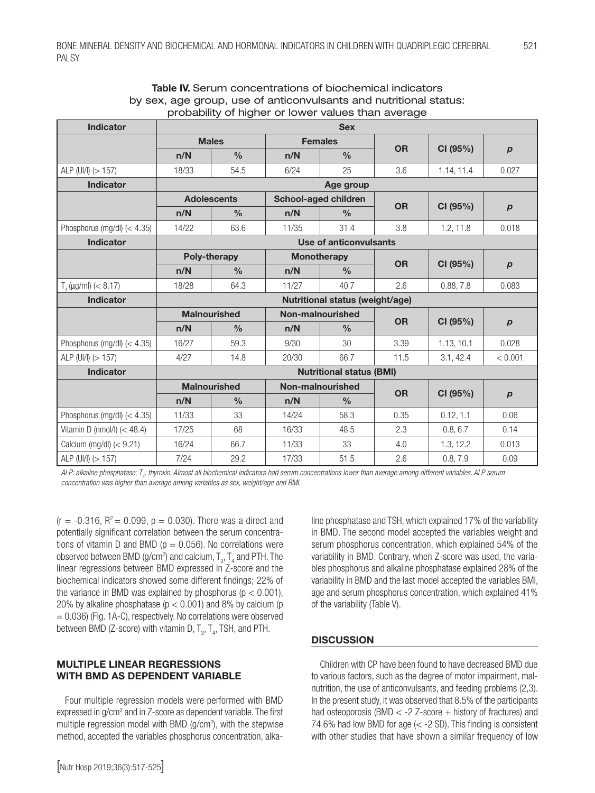| <b>Indicator</b>              | <b>Sex</b>                      |                                         |                    |                        |           |            |                  |
|-------------------------------|---------------------------------|-----------------------------------------|--------------------|------------------------|-----------|------------|------------------|
|                               |                                 | <b>Males</b>                            |                    | <b>Females</b>         | <b>OR</b> | CI (95%)   | $\boldsymbol{p}$ |
|                               | n/N                             | $\frac{0}{0}$                           | n/N                | $\frac{0}{0}$          |           |            |                  |
| ALP (UI/I) (> 157)            | 18/33                           | 54.5                                    | 6/24               | 25                     | 3.6       | 1.14, 11.4 | 0.027            |
| <b>Indicator</b>              | Age group                       |                                         |                    |                        |           |            |                  |
|                               |                                 | <b>Adolescents</b>                      |                    | School-aged children   | <b>OR</b> | CI (95%)   |                  |
|                               | n/N                             | $\frac{0}{0}$                           | n/N                | $\frac{0}{0}$          |           |            | $\boldsymbol{p}$ |
| Phosphorus (mg/dl) $(< 4.35)$ | 14/22                           | 63.6                                    | 11/35              | 31.4                   | 3.8       | 1.2, 11.8  | 0.018            |
| <b>Indicator</b>              |                                 |                                         |                    | Use of anticonvulsants |           |            |                  |
|                               |                                 | <b>Poly-therapy</b>                     | <b>Monotherapy</b> |                        | <b>OR</b> | CI (95%)   |                  |
|                               | n/N                             | $\frac{0}{0}$                           | n/N                | $\frac{0}{0}$          |           |            | $\boldsymbol{p}$ |
| $T_{4}$ (µg/ml) (< 8.17)      | 18/28                           | 64.3                                    | 11/27              | 40.7                   | 2.6       | 0.88, 7.8  | 0.083            |
| <b>Indicator</b>              | Nutritional status (weight/age) |                                         |                    |                        |           |            |                  |
|                               |                                 | <b>Malnourished</b><br>Non-malnourished |                    |                        | <b>OR</b> | CI (95%)   | $\boldsymbol{p}$ |
|                               | n/N                             | $\frac{0}{0}$                           | n/N                | $\%$                   |           |            |                  |
| Phosphorus (mg/dl) $(< 4.35)$ | 16/27                           | 59.3                                    | 9/30               | 30                     | 3.39      | 1.13, 10.1 | 0.028            |
| ALP (UI/I) (> 157)            | 4/27                            | 14.8                                    | 20/30              | 66.7                   | 11.5      | 3.1, 42.4  | < 0.001          |
| <b>Indicator</b>              | <b>Nutritional status (BMI)</b> |                                         |                    |                        |           |            |                  |
|                               |                                 | <b>Malnourished</b>                     | Non-malnourished   |                        | <b>OR</b> | CI(95%)    | $\boldsymbol{p}$ |
|                               | n/N                             | $\frac{0}{0}$                           | n/N                | $\frac{0}{0}$          |           |            |                  |
| Phosphorus (mg/dl) $(< 4.35)$ | 11/33                           | 33                                      | 14/24              | 58.3                   | 0.35      | 0.12, 1.1  | 0.06             |
| Vitamin D (nmol/l) $(< 48.4)$ | 17/25                           | 68                                      | 16/33              | 48.5                   | 2.3       | 0.8, 6.7   | 0.14             |
| Calcium (mg/dl) $(< 9.21)$    | 16/24                           | 66.7                                    | 11/33              | 33                     | 4.0       | 1.3, 12.2  | 0.013            |
| ALP (UI/I) (> 157)            | 7/24                            | 29.2                                    | 17/33              | 51.5                   | 2.6       | 0.8, 7.9   | 0.09             |

### Table IV. Serum concentrations of biochemical indicators by sex, age group, use of anticonvulsants and nutritional status: probability of higher or lower values than average

*ALP: alkaline phosphatase; T4 : thyroxin. Almost all biochemical indicators had serum concentrations lower than average among different variables. ALP serum concentration was higher than average among variables as sex, weight/age and BMI.*

 $(r = -0.316, R^2 = 0.099, p = 0.030)$ . There was a direct and potentially significant correlation between the serum concentrations of vitamin D and BMD ( $p = 0.056$ ). No correlations were observed between BMD (g/cm²) and calcium,  ${\mathsf T}_{_3}$ ,  ${\mathsf T}_{_4}$  and PTH. The linear regressions between BMD expressed in Z-score and the biochemical indicators showed some different findings; 22% of the variance in BMD was explained by phosphorus ( $p < 0.001$ ), 20% by alkaline phosphatase ( $p < 0.001$ ) and 8% by calcium (p  $= 0.036$ ) (Fig. 1A-C), respectively. No correlations were observed between BMD (Z-score) with vitamin D,  ${\tt T}_{_{3}},{\tt T}_{_{4}},{\tt TSH},$  and PTH.

# MULTIPLE LINEAR REGRESSIONS WITH BMD AS DEPENDENT VARIABLE

Four multiple regression models were performed with BMD expressed in g/cm<sup>2</sup> and in Z-score as dependent variable. The first multiple regression model with BMD (g/cm<sup>2</sup>), with the stepwise method, accepted the variables phosphorus concentration, alkaline phosphatase and TSH, which explained 17% of the variability in BMD. The second model accepted the variables weight and serum phosphorus concentration, which explained 54% of the variability in BMD. Contrary, when Z-score was used, the variables phosphorus and alkaline phosphatase explained 28% of the variability in BMD and the last model accepted the variables BMI, age and serum phosphorus concentration, which explained 41% of the variability (Table V).

# **DISCUSSION**

Children with CP have been found to have decreased BMD due to various factors, such as the degree of motor impairment, malnutrition, the use of anticonvulsants, and feeding problems (2,3). In the present study, it was observed that 8.5% of the participants had osteoporosis (BMD  $<$  -2 Z-score  $+$  history of fractures) and 74.6% had low BMD for age (< -2 SD). This finding is consistent with other studies that have shown a similar frequency of low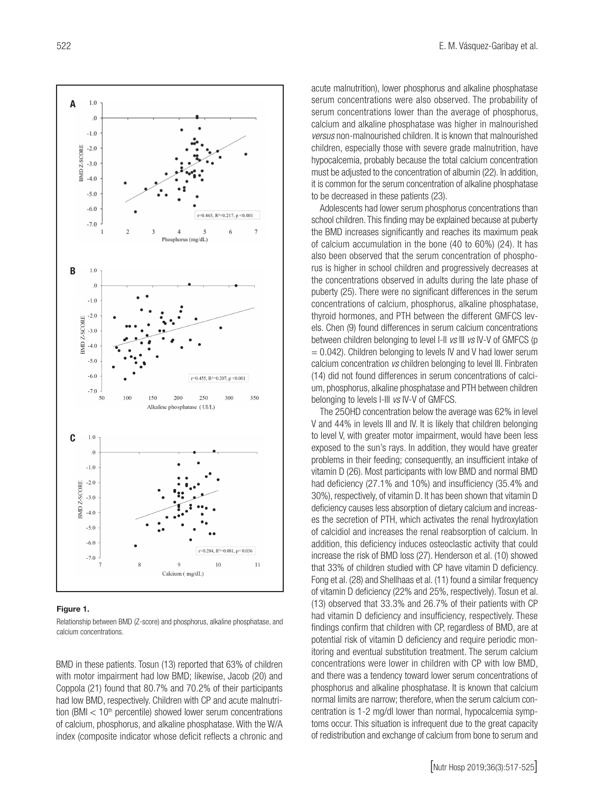

#### Figure 1.

Relationship between BMD (Z-score) and phosphorus, alkaline phosphatase, and calcium concentrations.

BMD in these patients. Tosun (13) reported that 63% of children with motor impairment had low BMD; likewise, Jacob (20) and Coppola (21) found that 80.7% and 70.2% of their participants had low BMD, respectively. Children with CP and acute malnutrition (BMI  $< 10<sup>th</sup>$  percentile) showed lower serum concentrations of calcium, phosphorus, and alkaline phosphatase. With the W/A index (composite indicator whose deficit reflects a chronic and

acute malnutrition), lower phosphorus and alkaline phosphatase serum concentrations were also observed. The probability of serum concentrations lower than the average of phosphorus, calcium and alkaline phosphatase was higher in malnourished *versus* non-malnourished children. It is known that malnourished children, especially those with severe grade malnutrition, have hypocalcemia, probably because the total calcium concentration must be adjusted to the concentration of albumin (22). In addition, it is common for the serum concentration of alkaline phosphatase to be decreased in these patients (23).

Adolescents had lower serum phosphorus concentrations than school children. This finding may be explained because at puberty the BMD increases significantly and reaches its maximum peak of calcium accumulation in the bone (40 to 60%) (24). It has also been observed that the serum concentration of phosphorus is higher in school children and progressively decreases at the concentrations observed in adults during the late phase of puberty (25). There were no significant differences in the serum concentrations of calcium, phosphorus, alkaline phosphatase, thyroid hormones, and PTH between the different GMFCS levels. Chen (9) found differences in serum calcium concentrations between children belonging to level I-II *vs* III *vs* IV-V of GMFCS (p  $= 0.042$ ). Children belonging to levels IV and V had lower serum calcium concentration *vs* children belonging to level III. Finbraten (14) did not found differences in serum concentrations of calcium, phosphorus, alkaline phosphatase and PTH between children belonging to levels I-III *vs* IV-V of GMFCS.

The 25OHD concentration below the average was 62% in level V and 44% in levels III and IV. It is likely that children belonging to level V, with greater motor impairment, would have been less exposed to the sun's rays. In addition, they would have greater problems in their feeding; consequently, an insufficient intake of vitamin D (26). Most participants with low BMD and normal BMD had deficiency (27.1% and 10%) and insufficiency (35.4% and 30%), respectively, of vitamin D. It has been shown that vitamin D deficiency causes less absorption of dietary calcium and increases the secretion of PTH, which activates the renal hydroxylation of calcidiol and increases the renal reabsorption of calcium. In addition, this deficiency induces osteoclastic activity that could increase the risk of BMD loss (27). Henderson et al. (10) showed that 33% of children studied with CP have vitamin D deficiency. Fong et al. (28) and Shellhaas et al. (11) found a similar frequency of vitamin D deficiency (22% and 25%, respectively). Tosun et al. (13) observed that 33.3% and 26.7% of their patients with CP had vitamin D deficiency and insufficiency, respectively. These findings confirm that children with CP, regardless of BMD, are at potential risk of vitamin D deficiency and require periodic monitoring and eventual substitution treatment. The serum calcium concentrations were lower in children with CP with low BMD, and there was a tendency toward lower serum concentrations of phosphorus and alkaline phosphatase. It is known that calcium normal limits are narrow; therefore, when the serum calcium concentration is 1-2 mg/dl lower than normal, hypocalcemia symptoms occur. This situation is infrequent due to the great capacity of redistribution and exchange of calcium from bone to serum and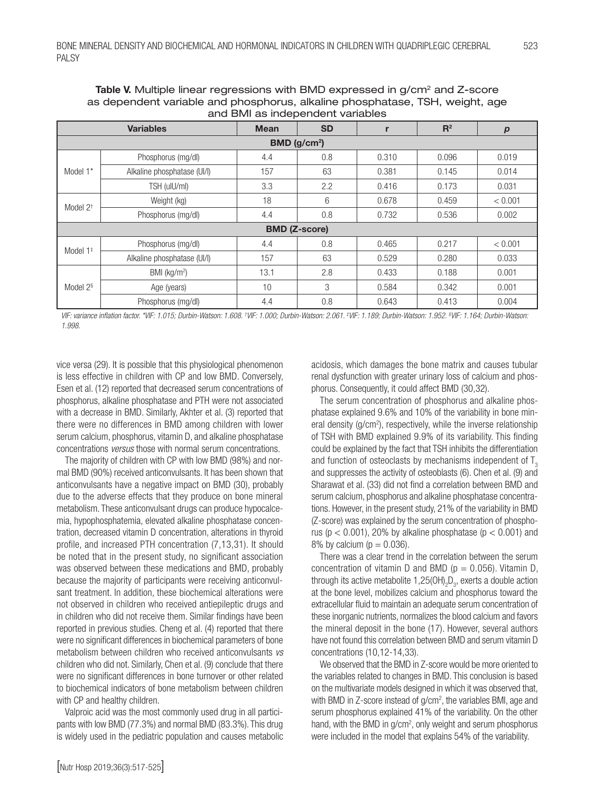| and Divil as independent vanables |                             |             |           |       |       |                  |  |  |
|-----------------------------------|-----------------------------|-------------|-----------|-------|-------|------------------|--|--|
| <b>Variables</b>                  |                             | <b>Mean</b> | <b>SD</b> |       | $R^2$ | $\boldsymbol{p}$ |  |  |
| BMD ( $g/cm2$ )                   |                             |             |           |       |       |                  |  |  |
| Model 1*                          | Phosphorus (mg/dl)          | 4.4         | 0.8       | 0.310 | 0.096 | 0.019            |  |  |
|                                   | Alkaline phosphatase (UI/I) | 157         | 63        | 0.381 | 0.145 | 0.014            |  |  |
|                                   | TSH (ulU/ml)                | 3.3         | 2.2       | 0.416 | 0.173 | 0.031            |  |  |
| Model $2^+$                       | Weight (kg)                 | 18          | 6         | 0.678 | 0.459 | < 0.001          |  |  |
|                                   | Phosphorus (mg/dl)          | 4.4         | 0.8       | 0.732 | 0.536 | 0.002            |  |  |
| <b>BMD (Z-score)</b>              |                             |             |           |       |       |                  |  |  |
| Model $1^*$                       | Phosphorus (mg/dl)          | 4.4         | 0.8       | 0.465 | 0.217 | < 0.001          |  |  |
|                                   | Alkaline phosphatase (UI/I) | 157         | 63        | 0.529 | 0.280 | 0.033            |  |  |
| Model 2 <sup>§</sup>              | BMI (kg/m <sup>2</sup> )    | 13.1        | 2.8       | 0.433 | 0.188 | 0.001            |  |  |
|                                   | Age (years)                 | 10          | 3         | 0.584 | 0.342 | 0.001            |  |  |
|                                   | Phosphorus (mg/dl)          | 4.4         | 0.8       | 0.643 | 0.413 | 0.004            |  |  |

Table V. Multiple linear regressions with BMD expressed in g/cm<sup>2</sup> and Z-score as dependent variable and phosphorus, alkaline phosphatase, TSH, weight, age and BMI as independent variables

*VIF: variance inflation factor. \*VIF: 1.015; Durbin-Watson: 1.608. † VIF: 1.000; Durbin-Watson: 2.061. ‡ VIF: 1.189; Durbin-Watson: 1.952. § VIF: 1.164; Durbin-Watson: 1.998.*

vice versa (29). It is possible that this physiological phenomenon is less effective in children with CP and low BMD. Conversely, Esen et al. (12) reported that decreased serum concentrations of phosphorus, alkaline phosphatase and PTH were not associated with a decrease in BMD. Similarly, Akhter et al. (3) reported that there were no differences in BMD among children with lower serum calcium, phosphorus, vitamin D, and alkaline phosphatase concentrations *versus* those with normal serum concentrations.

The majority of children with CP with low BMD (98%) and normal BMD (90%) received anticonvulsants. It has been shown that anticonvulsants have a negative impact on BMD (30), probably due to the adverse effects that they produce on bone mineral metabolism. These anticonvulsant drugs can produce hypocalcemia, hypophosphatemia, elevated alkaline phosphatase concentration, decreased vitamin D concentration, alterations in thyroid profile, and increased PTH concentration (7,13,31). It should be noted that in the present study, no significant association was observed between these medications and BMD, probably because the majority of participants were receiving anticonvulsant treatment. In addition, these biochemical alterations were not observed in children who received antiepileptic drugs and in children who did not receive them. Similar findings have been reported in previous studies. Cheng et al. (4) reported that there were no significant differences in biochemical parameters of bone metabolism between children who received anticonvulsants *vs* children who did not. Similarly, Chen et al. (9) conclude that there were no significant differences in bone turnover or other related to biochemical indicators of bone metabolism between children with CP and healthy children.

Valproic acid was the most commonly used drug in all participants with low BMD (77.3%) and normal BMD (83.3%). This drug is widely used in the pediatric population and causes metabolic acidosis, which damages the bone matrix and causes tubular renal dysfunction with greater urinary loss of calcium and phosphorus. Consequently, it could affect BMD (30,32).

The serum concentration of phosphorus and alkaline phosphatase explained 9.6% and 10% of the variability in bone mineral density (g/cm<sup>2</sup>), respectively, while the inverse relationship of TSH with BMD explained 9.9% of its variability. This finding could be explained by the fact that TSH inhibits the differentiation and function of osteoclasts by mechanisms independent of  $T<sub>3</sub>$ and suppresses the activity of osteoblasts (6). Chen et al. (9) and Sharawat et al. (33) did not find a correlation between BMD and serum calcium, phosphorus and alkaline phosphatase concentrations. However, in the present study, 21% of the variability in BMD (Z-score) was explained by the serum concentration of phosphorus ( $p < 0.001$ ), 20% by alkaline phosphatase ( $p < 0.001$ ) and 8% by calcium ( $p = 0.036$ ).

There was a clear trend in the correlation between the serum concentration of vitamin D and BMD ( $p = 0.056$ ). Vitamin D, through its active metabolite 1,25(OH)<sub>2</sub>D<sub>3</sub>, exerts a double action at the bone level, mobilizes calcium and phosphorus toward the extracellular fluid to maintain an adequate serum concentration of these inorganic nutrients, normalizes the blood calcium and favors the mineral deposit in the bone (17). However, several authors have not found this correlation between BMD and serum vitamin D concentrations (10,12-14,33).

We observed that the BMD in Z-score would be more oriented to the variables related to changes in BMD. This conclusion is based on the multivariate models designed in which it was observed that, with BMD in Z-score instead of  $g/cm<sup>2</sup>$ , the variables BMI, age and serum phosphorus explained 41% of the variability. On the other hand, with the BMD in g/cm<sup>2</sup>, only weight and serum phosphorus were included in the model that explains 54% of the variability.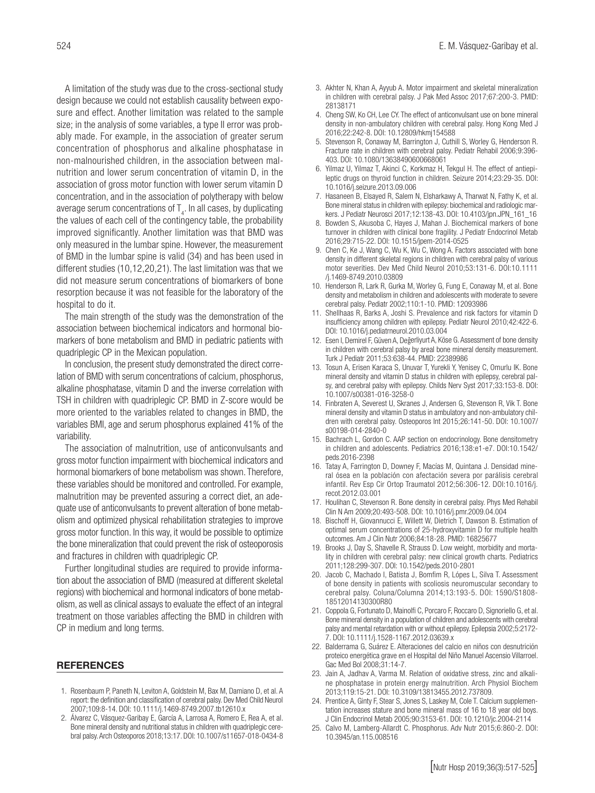A limitation of the study was due to the cross-sectional study design because we could not establish causality between exposure and effect. Another limitation was related to the sample size; in the analysis of some variables, a type II error was probably made. For example, in the association of greater serum concentration of phosphorus and alkaline phosphatase in non-malnourished children, in the association between malnutrition and lower serum concentration of vitamin D, in the association of gross motor function with lower serum vitamin D concentration, and in the association of polytherapy with below average serum concentrations of  $\mathsf{T}_4.$  In all cases, by duplicating

the values of each cell of the contingency table, the probability improved significantly. Another limitation was that BMD was only measured in the lumbar spine. However, the measurement of BMD in the lumbar spine is valid (34) and has been used in different studies (10,12,20,21). The last limitation was that we did not measure serum concentrations of biomarkers of bone resorption because it was not feasible for the laboratory of the hospital to do it.

The main strength of the study was the demonstration of the association between biochemical indicators and hormonal biomarkers of bone metabolism and BMD in pediatric patients with quadriplegic CP in the Mexican population.

In conclusion, the present study demonstrated the direct correlation of BMD with serum concentrations of calcium, phosphorus, alkaline phosphatase, vitamin D and the inverse correlation with TSH in children with quadriplegic CP. BMD in Z-score would be more oriented to the variables related to changes in BMD, the variables BMI, age and serum phosphorus explained 41% of the variability.

The association of malnutrition, use of anticonvulsants and gross motor function impairment with biochemical indicators and hormonal biomarkers of bone metabolism was shown. Therefore, these variables should be monitored and controlled. For example, malnutrition may be prevented assuring a correct diet, an adequate use of anticonvulsants to prevent alteration of bone metabolism and optimized physical rehabilitation strategies to improve gross motor function. In this way, it would be possible to optimize the bone mineralization that could prevent the risk of osteoporosis and fractures in children with quadriplegic CP.

Further longitudinal studies are required to provide information about the association of BMD (measured at different skeletal regions) with biochemical and hormonal indicators of bone metabolism, as well as clinical assays to evaluate the effect of an integral treatment on those variables affecting the BMD in children with CP in medium and long terms.

#### REFERENCES

- 1. Rosenbaum P, Paneth N, Leviton A, Goldstein M, Bax M, Damiano D, et al. A report: the definition and classification of cerebral palsy. Dev Med Child Neurol 2007;109:8-14. DOI: 10.1111/j.1469-8749.2007.tb12610.x
- 2. Álvarez C, Vásquez-Garibay E, García A, Larrosa A, Romero E, Rea A, et al. Bone mineral density and nutritional status in children with quadriplegic cerebral palsy. Arch Osteoporos 2018;13:17. DOI: 10.1007/s11657-018-0434-8
- 3. Akhter N, Khan A, Ayyub A. Motor impairment and skeletal mineralization in children with cerebral palsy. J Pak Med Assoc 2017;67:200-3. PMID: 28138171
- 4. Cheng SW, Ko CH, Lee CY. The effect of anticonvulsant use on bone mineral density in non-ambulatory children with cerebral palsy. Hong Kong Med J 2016;22:242-8. DOI: 10.12809/hkmj154588
- 5. Stevenson R, Conaway M, Barrington J, Cuthill S, Worley G, Henderson R. Fracture rate in children with cerebral palsy. Pediatr Rehabil 2006;9:396- 403. DOI: 10.1080/13638490600668061
- 6. Yilmaz U, Yilmaz T, Akinci C, Korkmaz H, Tekgul H. The effect of antiepileptic drugs on thyroid function in children. Seizure 2014;23:29-35. DOI: 10.1016/j.seizure.2013.09.006
- 7. Hasaneen B, Elsayed R, Salem N, Elsharkawy A, Tharwat N, Fathy K, et al. Bone mineral status in children with epilepsy: biochemical and radiologic markers. J Pediatr Neurosci 2017;12:138-43. DOI: 10.4103/jpn.JPN\_161\_16
- 8. Bowden S, Akusoba C, Hayes J, Mahan J. Biochemical markers of bone turnover in children with clinical bone fragility. J Pediatr Endocrinol Metab 2016;29:715-22. DOI: 10.1515/jpem-2014-0525
- 9. Chen C, Ke J, Wang C, Wu K, Wu C, Wong A. Factors associated with bone density in different skeletal regions in children with cerebral palsy of various motor severities. Dev Med Child Neurol 2010;53:131-6. DOI:10.1111 /j.1469-8749.2010.03809
- 10. Henderson R, Lark R, Gurka M, Worley G, Fung E, Conaway M, et al. Bone density and metabolism in children and adolescents with moderate to severe cerebral palsy. Pediatr 2002;110:1-10. PMID: 12093986
- 11. Shellhaas R, Barks A, Joshi S. Prevalence and risk factors for vitamin D insufficiency among children with epilepsy. Pediatr Neurol 2010;42:422-6. DOI: 10.1016/j.pediatrneurol.2010.03.004
- 12. Esen I, Demirel F, Güven A, Değerliyurt A, Köse G. Assessment of bone density in children with cerebral palsy by areal bone mineral density measurement. Turk J Pediatr 2011;53:638-44. PMID: 22389986
- 13. Tosun A, Erisen Karaca S, Unuvar T, Yurekli Y, Yenisey C, Omurlu IK. Bone mineral density and vitamin D status in children with epilepsy, cerebral palsy, and cerebral palsy with epilepsy. Childs Nerv Syst 2017;33:153-8. DOI: 10.1007/s00381-016-3258-0
- 14. Finbraten A, Severest U, Skranes J, Andersen G, Stevenson R, Vik T. Bone mineral density and vitamin D status in ambulatory and non-ambulatory children with cerebral palsy. Osteoporos Int 2015;26:141-50. DOI: 10.1007/ s00198-014-2840-0
- 15. Bachrach L, Gordon C. AAP section on endocrinology. Bone densitometry in children and adolescents. Pediatrics 2016;138:e1-e7. DOI:10.1542/ peds.2016-2398
- 16. Tatay A, Farrington D, Downey F, Macías M, Quintana J. Densidad mineral ósea en la población con afectación severa por parálisis cerebral infantil. Rev Esp Cir Ortop Traumatol 2012;56:306-12. DOI:10.1016/j. recot.2012.03.001
- 17. Houlihan C, Stevenson R. Bone density in cerebral palsy. Phys Med Rehabil Clin N Am 2009;20:493-508. DOI: 10.1016/j.pmr.2009.04.004
- 18. Bischoff H, Giovannucci E, Willett W, Dietrich T, Dawson B. Estimation of optimal serum concentrations of 25-hydroxyvitamin D for multiple health outcomes. Am J Clin Nutr 2006;84:18-28. PMID: 16825677
- 19. Brooks J, Day S, Shavelle R, Strauss D. Low weight, morbidity and mortality in children with cerebral palsy: new clinical growth charts. Pediatrics 2011;128:299-307. DOI: 10.1542/peds.2010-2801
- 20. Jacob C, Machado I, Batista J, Bomfim R, Lópes L, Silva T. Assessment of bone density in patients with scoliosis neuromuscular secondary to cerebral palsy. Coluna/Columna 2014;13:193-5. DOI: 1590/S1808- 18512014130300R80
- 21. Coppola G, Fortunato D, Mainolfi C, Porcaro F, Roccaro D, Signoriello G, et al. Bone mineral density in a population of children and adolescents with cerebral palsy and mental retardation with or without epilepsy. Epilepsia 2002;5:2172- 7. DOI: 10.1111/j.1528-1167.2012.03639.x
- 22. Balderrama G, Suárez E. Alteraciones del calcio en niños con desnutrición proteico energética grave en el Hospital del Niño Manuel Ascensio Villarroel. Gac Med Bol 2008;31:14-7.
- 23. Jain A, Jadhav A, Varma M. Relation of oxidative stress, zinc and alkaline phosphatase in protein energy malnutrition. Arch Physiol Biochem 2013;119:15-21. DOI: 10.3109/13813455.2012.737809.
- 24. Prentice A, Ginty F, Stear S, Jones S, Laskey M, Cole T. Calcium supplementation increases stature and bone mineral mass of 16 to 18 year old boys. J Clin Endocrinol Metab 2005;90:3153-61. DOI: 10.1210/jc.2004-2114
- 25. Calvo M, Lamberg-Allardt C. Phosphorus. Adv Nutr 2015;6:860-2. DOI: 10.3945/an.115.008516